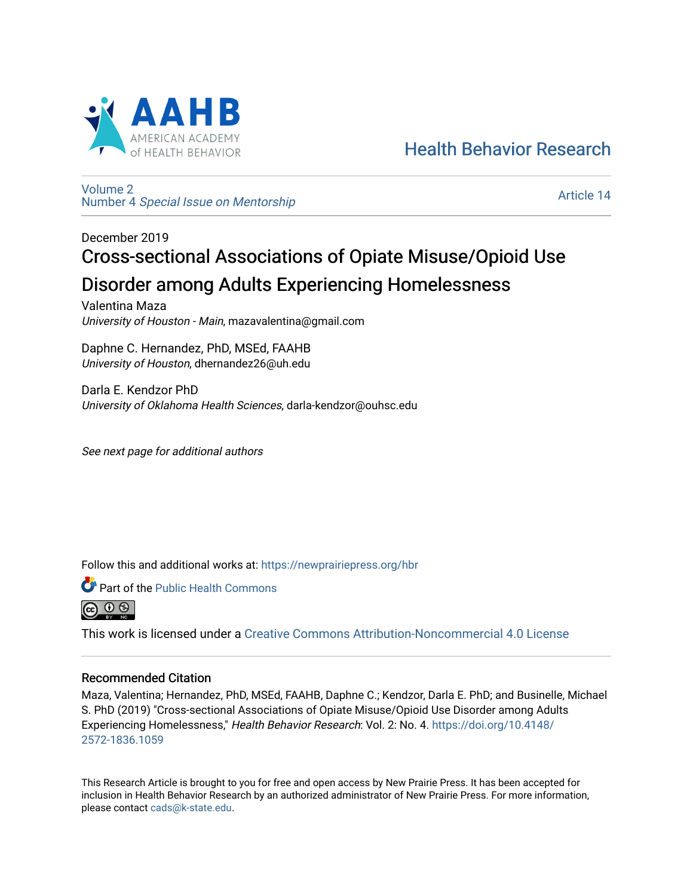

[Health Behavior Research](https://newprairiepress.org/hbr) 

[Volume 2](https://newprairiepress.org/hbr/vol2) Number 4 [Special Issue on Mentorship](https://newprairiepress.org/hbr/vol2/iss4) 

[Article 14](https://newprairiepress.org/hbr/vol2/iss4/14) 

# December 2019 Cross-sectional Associations of Opiate Misuse/Opioid Use Disorder among Adults Experiencing Homelessness

Valentina Maza University of Houston - Main, mazavalentina@gmail.com

Daphne C. Hernandez, PhD, MSEd, FAAHB University of Houston, dhernandez26@uh.edu

Darla E. Kendzor PhD University of Oklahoma Health Sciences, darla-kendzor@ouhsc.edu

See next page for additional authors

Follow this and additional works at: [https://newprairiepress.org/hbr](https://newprairiepress.org/hbr?utm_source=newprairiepress.org%2Fhbr%2Fvol2%2Fiss4%2F14&utm_medium=PDF&utm_campaign=PDFCoverPages) 



<u>(සි ල ළ)</u>

This work is licensed under a [Creative Commons Attribution-Noncommercial 4.0 License](https://creativecommons.org/licenses/by-nc/4.0/)

## Recommended Citation

Maza, Valentina; Hernandez, PhD, MSEd, FAAHB, Daphne C.; Kendzor, Darla E. PhD; and Businelle, Michael S. PhD (2019) "Cross-sectional Associations of Opiate Misuse/Opioid Use Disorder among Adults Experiencing Homelessness," Health Behavior Research: Vol. 2: No. 4. [https://doi.org/10.4148/](https://doi.org/10.4148/2572-1836.1059) [2572-1836.1059](https://doi.org/10.4148/2572-1836.1059) 

This Research Article is brought to you for free and open access by New Prairie Press. It has been accepted for inclusion in Health Behavior Research by an authorized administrator of New Prairie Press. For more information, please contact [cads@k-state.edu.](mailto:cads@k-state.edu)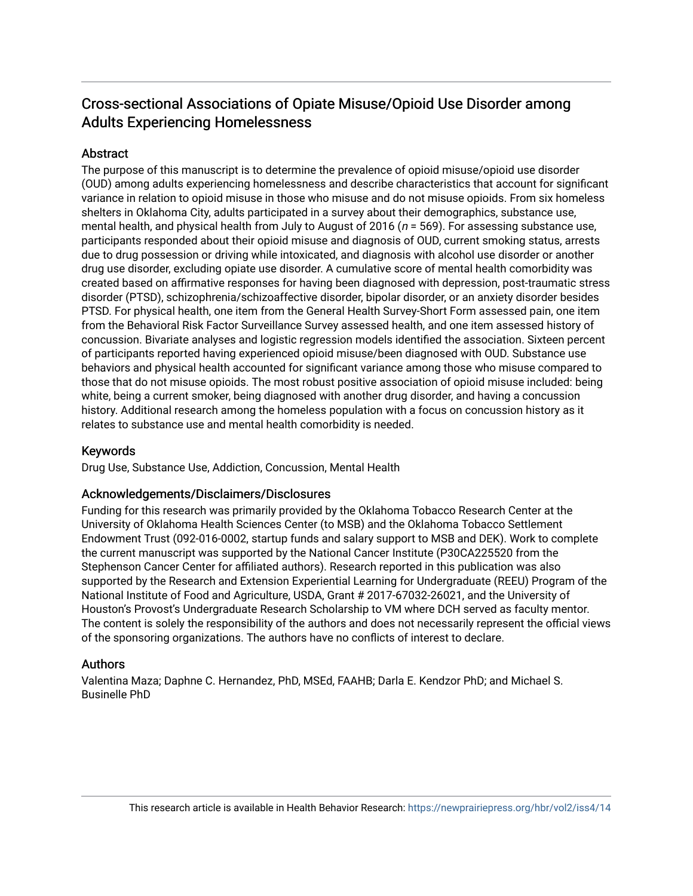## Cross-sectional Associations of Opiate Misuse/Opioid Use Disorder among Adults Experiencing Homelessness

### **Abstract**

The purpose of this manuscript is to determine the prevalence of opioid misuse/opioid use disorder (OUD) among adults experiencing homelessness and describe characteristics that account for significant variance in relation to opioid misuse in those who misuse and do not misuse opioids. From six homeless shelters in Oklahoma City, adults participated in a survey about their demographics, substance use, mental health, and physical health from July to August of 2016 ( $n = 569$ ). For assessing substance use, participants responded about their opioid misuse and diagnosis of OUD, current smoking status, arrests due to drug possession or driving while intoxicated, and diagnosis with alcohol use disorder or another drug use disorder, excluding opiate use disorder. A cumulative score of mental health comorbidity was created based on affirmative responses for having been diagnosed with depression, post-traumatic stress disorder (PTSD), schizophrenia/schizoaffective disorder, bipolar disorder, or an anxiety disorder besides PTSD. For physical health, one item from the General Health Survey-Short Form assessed pain, one item from the Behavioral Risk Factor Surveillance Survey assessed health, and one item assessed history of concussion. Bivariate analyses and logistic regression models identified the association. Sixteen percent of participants reported having experienced opioid misuse/been diagnosed with OUD. Substance use behaviors and physical health accounted for significant variance among those who misuse compared to those that do not misuse opioids. The most robust positive association of opioid misuse included: being white, being a current smoker, being diagnosed with another drug disorder, and having a concussion history. Additional research among the homeless population with a focus on concussion history as it relates to substance use and mental health comorbidity is needed.

#### Keywords

Drug Use, Substance Use, Addiction, Concussion, Mental Health

#### Acknowledgements/Disclaimers/Disclosures

Funding for this research was primarily provided by the Oklahoma Tobacco Research Center at the University of Oklahoma Health Sciences Center (to MSB) and the Oklahoma Tobacco Settlement Endowment Trust (092-016-0002, startup funds and salary support to MSB and DEK). Work to complete the current manuscript was supported by the National Cancer Institute (P30CA225520 from the Stephenson Cancer Center for affiliated authors). Research reported in this publication was also supported by the Research and Extension Experiential Learning for Undergraduate (REEU) Program of the National Institute of Food and Agriculture, USDA, Grant # 2017-67032-26021, and the University of Houston's Provost's Undergraduate Research Scholarship to VM where DCH served as faculty mentor. The content is solely the responsibility of the authors and does not necessarily represent the official views of the sponsoring organizations. The authors have no conflicts of interest to declare.

#### Authors

Valentina Maza; Daphne C. Hernandez, PhD, MSEd, FAAHB; Darla E. Kendzor PhD; and Michael S. Businelle PhD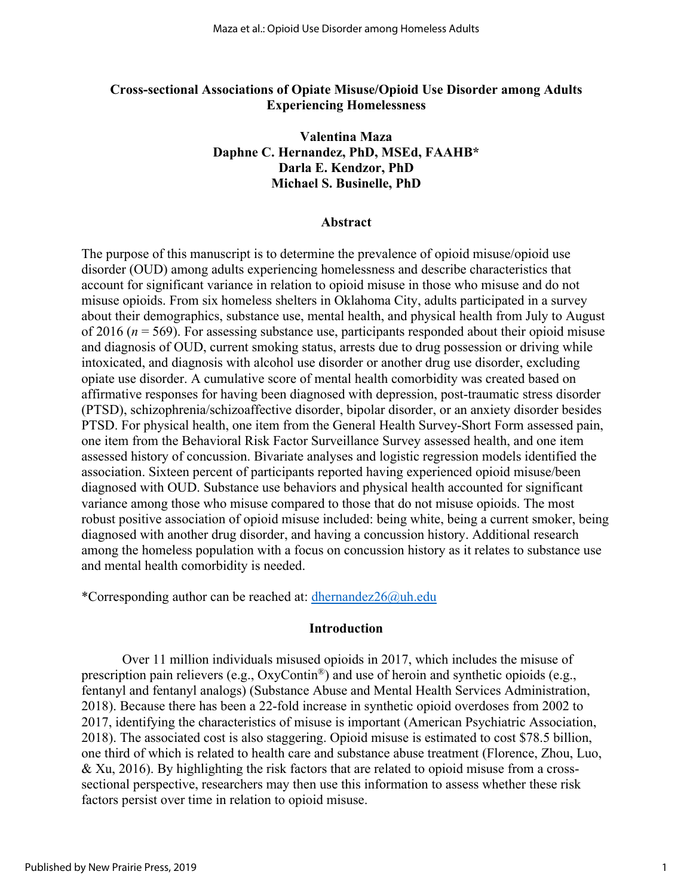#### **Cross-sectional Associations of Opiate Misuse/Opioid Use Disorder among Adults Experiencing Homelessness**

### **Valentina Maza Daphne C. Hernandez, PhD, MSEd, FAAHB\* Darla E. Kendzor, PhD Michael S. Businelle, PhD**

#### **Abstract**

The purpose of this manuscript is to determine the prevalence of opioid misuse/opioid use disorder (OUD) among adults experiencing homelessness and describe characteristics that account for significant variance in relation to opioid misuse in those who misuse and do not misuse opioids. From six homeless shelters in Oklahoma City, adults participated in a survey about their demographics, substance use, mental health, and physical health from July to August of 2016 (*n* = 569). For assessing substance use, participants responded about their opioid misuse and diagnosis of OUD, current smoking status, arrests due to drug possession or driving while intoxicated, and diagnosis with alcohol use disorder or another drug use disorder, excluding opiate use disorder. A cumulative score of mental health comorbidity was created based on affirmative responses for having been diagnosed with depression, post-traumatic stress disorder (PTSD), schizophrenia/schizoaffective disorder, bipolar disorder, or an anxiety disorder besides PTSD. For physical health, one item from the General Health Survey-Short Form assessed pain, one item from the Behavioral Risk Factor Surveillance Survey assessed health, and one item assessed history of concussion. Bivariate analyses and logistic regression models identified the association. Sixteen percent of participants reported having experienced opioid misuse/been diagnosed with OUD. Substance use behaviors and physical health accounted for significant variance among those who misuse compared to those that do not misuse opioids. The most robust positive association of opioid misuse included: being white, being a current smoker, being diagnosed with another drug disorder, and having a concussion history. Additional research among the homeless population with a focus on concussion history as it relates to substance use and mental health comorbidity is needed.

\*Corresponding author can be reached at: [dhernandez26@uh.edu](mailto:dhernandez26@uh.edu)

#### **Introduction**

Over 11 million individuals misused opioids in 2017, which includes the misuse of prescription pain relievers (e.g., OxyContin®) and use of heroin and synthetic opioids (e.g., fentanyl and fentanyl analogs) (Substance Abuse and Mental Health Services Administration, 2018). Because there has been a 22-fold increase in synthetic opioid overdoses from 2002 to 2017, identifying the characteristics of misuse is important (American Psychiatric Association, 2018). The associated cost is also staggering. Opioid misuse is estimated to cost \$78.5 billion, one third of which is related to health care and substance abuse treatment (Florence, Zhou, Luo, & Xu, 2016). By highlighting the risk factors that are related to opioid misuse from a crosssectional perspective, researchers may then use this information to assess whether these risk factors persist over time in relation to opioid misuse.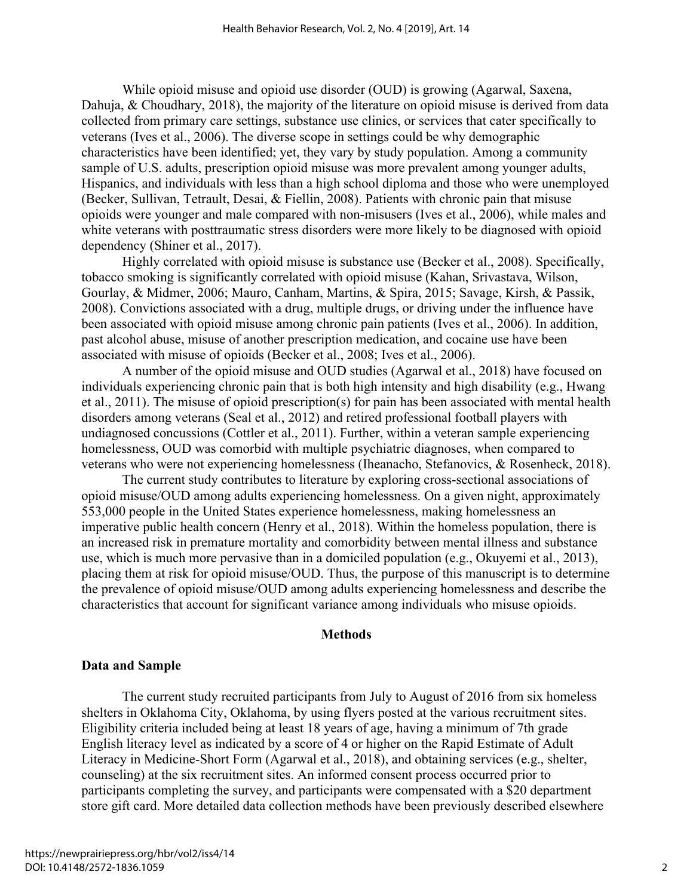While opioid misuse and opioid use disorder (OUD) is growing (Agarwal, Saxena, Dahuja, & Choudhary, 2018), the majority of the literature on opioid misuse is derived from data collected from primary care settings, substance use clinics, or services that cater specifically to veterans (Ives et al., 2006). The diverse scope in settings could be why demographic characteristics have been identified; yet, they vary by study population. Among a community sample of U.S. adults, prescription opioid misuse was more prevalent among younger adults, Hispanics, and individuals with less than a high school diploma and those who were unemployed (Becker, Sullivan, Tetrault, Desai, & Fiellin, 2008). Patients with chronic pain that misuse opioids were younger and male compared with non-misusers (Ives et al., 2006), while males and white veterans with posttraumatic stress disorders were more likely to be diagnosed with opioid dependency (Shiner et al., 2017).

Highly correlated with opioid misuse is substance use (Becker et al., 2008). Specifically, tobacco smoking is significantly correlated with opioid misuse (Kahan, Srivastava, Wilson, Gourlay, & Midmer, 2006; Mauro, Canham, Martins, & Spira, 2015; Savage, Kirsh, & Passik, 2008). Convictions associated with a drug, multiple drugs, or driving under the influence have been associated with opioid misuse among chronic pain patients (Ives et al., 2006). In addition, past alcohol abuse, misuse of another prescription medication, and cocaine use have been associated with misuse of opioids (Becker et al., 2008; Ives et al., 2006).

A number of the opioid misuse and OUD studies (Agarwal et al., 2018) have focused on individuals experiencing chronic pain that is both high intensity and high disability (e.g., Hwang et al., 2011). The misuse of opioid prescription(s) for pain has been associated with mental health disorders among veterans (Seal et al., 2012) and retired professional football players with undiagnosed concussions (Cottler et al., 2011). Further, within a veteran sample experiencing homelessness, OUD was comorbid with multiple psychiatric diagnoses, when compared to veterans who were not experiencing homelessness (Iheanacho, Stefanovics, & Rosenheck, 2018).

The current study contributes to literature by exploring cross-sectional associations of opioid misuse/OUD among adults experiencing homelessness. On a given night, approximately 553,000 people in the United States experience homelessness, making homelessness an imperative public health concern (Henry et al., 2018). Within the homeless population, there is an increased risk in premature mortality and comorbidity between mental illness and substance use, which is much more pervasive than in a domiciled population (e.g., Okuyemi et al., 2013), placing them at risk for opioid misuse/OUD. Thus, the purpose of this manuscript is to determine the prevalence of opioid misuse/OUD among adults experiencing homelessness and describe the characteristics that account for significant variance among individuals who misuse opioids.

#### **Methods**

#### **Data and Sample**

The current study recruited participants from July to August of 2016 from six homeless shelters in Oklahoma City, Oklahoma, by using flyers posted at the various recruitment sites. Eligibility criteria included being at least 18 years of age, having a minimum of 7th grade English literacy level as indicated by a score of 4 or higher on the Rapid Estimate of Adult Literacy in Medicine-Short Form (Agarwal et al., 2018), and obtaining services (e.g., shelter, counseling) at the six recruitment sites. An informed consent process occurred prior to participants completing the survey, and participants were compensated with a \$20 department store gift card. More detailed data collection methods have been previously described elsewhere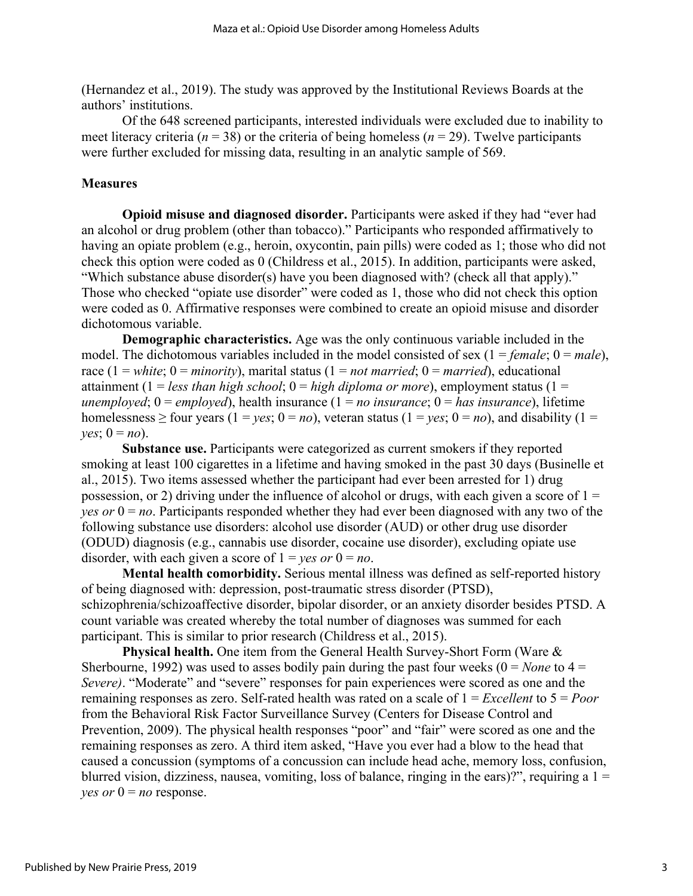(Hernandez et al., 2019). The study was approved by the Institutional Reviews Boards at the authors' institutions.

Of the 648 screened participants, interested individuals were excluded due to inability to meet literacy criteria ( $n = 38$ ) or the criteria of being homeless ( $n = 29$ ). Twelve participants were further excluded for missing data, resulting in an analytic sample of 569.

#### **Measures**

**Opioid misuse and diagnosed disorder.** Participants were asked if they had "ever had an alcohol or drug problem (other than tobacco)." Participants who responded affirmatively to having an opiate problem (e.g., heroin, oxycontin, pain pills) were coded as 1; those who did not check this option were coded as 0 (Childress et al., 2015). In addition, participants were asked, "Which substance abuse disorder(s) have you been diagnosed with? (check all that apply)." Those who checked "opiate use disorder" were coded as 1, those who did not check this option were coded as 0. Affirmative responses were combined to create an opioid misuse and disorder dichotomous variable.

**Demographic characteristics.** Age was the only continuous variable included in the model. The dichotomous variables included in the model consisted of sex  $(1 = female; 0 = male)$ , race (1 = *white*;  $0 = \text{minority}$ ), marital status (1 = *not married*; 0 = *married*), educational attainment (1 = *less than high school*; 0 = *high diploma or more*), employment status (1 = *unemployed*;  $0 = \text{employed}$ , health insurance  $(1 = no\; insurance; 0 = has\; insurance)$ , lifetime homelessness > four years  $(1 = \text{ves}; 0 = \text{no})$ , veteran status  $(1 = \text{ves}; 0 = \text{no})$ , and disability  $(1 =$ *yes*;  $0 = no$ ).

**Substance use.** Participants were categorized as current smokers if they reported smoking at least 100 cigarettes in a lifetime and having smoked in the past 30 days (Businelle et al., 2015). Two items assessed whether the participant had ever been arrested for 1) drug possession, or 2) driving under the influence of alcohol or drugs, with each given a score of  $1 =$ *yes or* 0 = *no*. Participants responded whether they had ever been diagnosed with any two of the following substance use disorders: alcohol use disorder (AUD) or other drug use disorder (ODUD) diagnosis (e.g., cannabis use disorder, cocaine use disorder), excluding opiate use disorder, with each given a score of  $1 = yes$  or  $0 = no$ .

**Mental health comorbidity.** Serious mental illness was defined as self-reported history of being diagnosed with: depression, post-traumatic stress disorder (PTSD), schizophrenia/schizoaffective disorder, bipolar disorder, or an anxiety disorder besides PTSD. A count variable was created whereby the total number of diagnoses was summed for each participant. This is similar to prior research (Childress et al., 2015).

**Physical health.** One item from the General Health Survey-Short Form (Ware & Sherbourne, 1992) was used to asses bodily pain during the past four weeks  $(0 = None$  to  $4 =$ *Severe)*. "Moderate" and "severe" responses for pain experiences were scored as one and the remaining responses as zero. Self-rated health was rated on a scale of 1 = *Excellent* to 5 = *Poor*  from the Behavioral Risk Factor Surveillance Survey (Centers for Disease Control and Prevention, 2009). The physical health responses "poor" and "fair" were scored as one and the remaining responses as zero. A third item asked, "Have you ever had a blow to the head that caused a concussion (symptoms of a concussion can include head ache, memory loss, confusion, blurred vision, dizziness, nausea, vomiting, loss of balance, ringing in the ears)?", requiring a  $1 =$ *yes or*  $0 = no$  response.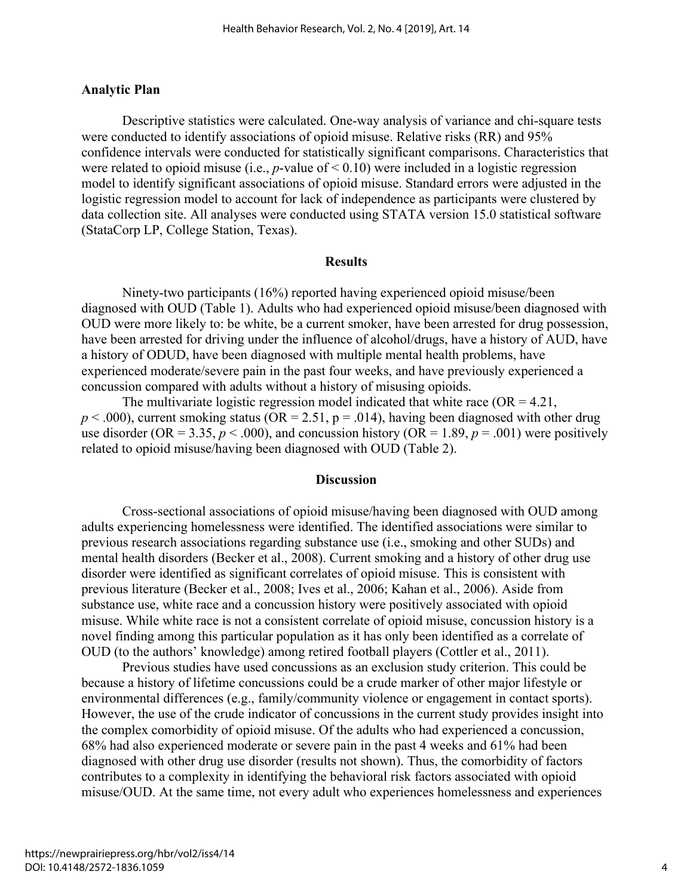#### **Analytic Plan**

Descriptive statistics were calculated. One-way analysis of variance and chi-square tests were conducted to identify associations of opioid misuse. Relative risks (RR) and 95% confidence intervals were conducted for statistically significant comparisons. Characteristics that were related to opioid misuse (i.e., *p*-value of < 0.10) were included in a logistic regression model to identify significant associations of opioid misuse. Standard errors were adjusted in the logistic regression model to account for lack of independence as participants were clustered by data collection site. All analyses were conducted using STATA version 15.0 statistical software (StataCorp LP, College Station, Texas).

#### **Results**

Ninety-two participants (16%) reported having experienced opioid misuse/been diagnosed with OUD (Table 1). Adults who had experienced opioid misuse/been diagnosed with OUD were more likely to: be white, be a current smoker, have been arrested for drug possession, have been arrested for driving under the influence of alcohol/drugs, have a history of AUD, have a history of ODUD, have been diagnosed with multiple mental health problems, have experienced moderate/severe pain in the past four weeks, and have previously experienced a concussion compared with adults without a history of misusing opioids.

The multivariate logistic regression model indicated that white race ( $OR = 4.21$ ,  $p < .000$ ), current smoking status (OR = 2.51,  $p = .014$ ), having been diagnosed with other drug use disorder (OR = 3.35,  $p < .000$ ), and concussion history (OR = 1.89,  $p = .001$ ) were positively related to opioid misuse/having been diagnosed with OUD (Table 2).

#### **Discussion**

Cross-sectional associations of opioid misuse/having been diagnosed with OUD among adults experiencing homelessness were identified. The identified associations were similar to previous research associations regarding substance use (i.e., smoking and other SUDs) and mental health disorders (Becker et al., 2008). Current smoking and a history of other drug use disorder were identified as significant correlates of opioid misuse. This is consistent with previous literature (Becker et al., 2008; Ives et al., 2006; Kahan et al., 2006). Aside from substance use, white race and a concussion history were positively associated with opioid misuse. While white race is not a consistent correlate of opioid misuse, concussion history is a novel finding among this particular population as it has only been identified as a correlate of OUD (to the authors' knowledge) among retired football players (Cottler et al., 2011).

Previous studies have used concussions as an exclusion study criterion. This could be because a history of lifetime concussions could be a crude marker of other major lifestyle or environmental differences (e.g., family/community violence or engagement in contact sports). However, the use of the crude indicator of concussions in the current study provides insight into the complex comorbidity of opioid misuse. Of the adults who had experienced a concussion, 68% had also experienced moderate or severe pain in the past 4 weeks and 61% had been diagnosed with other drug use disorder (results not shown). Thus, the comorbidity of factors contributes to a complexity in identifying the behavioral risk factors associated with opioid misuse/OUD. At the same time, not every adult who experiences homelessness and experiences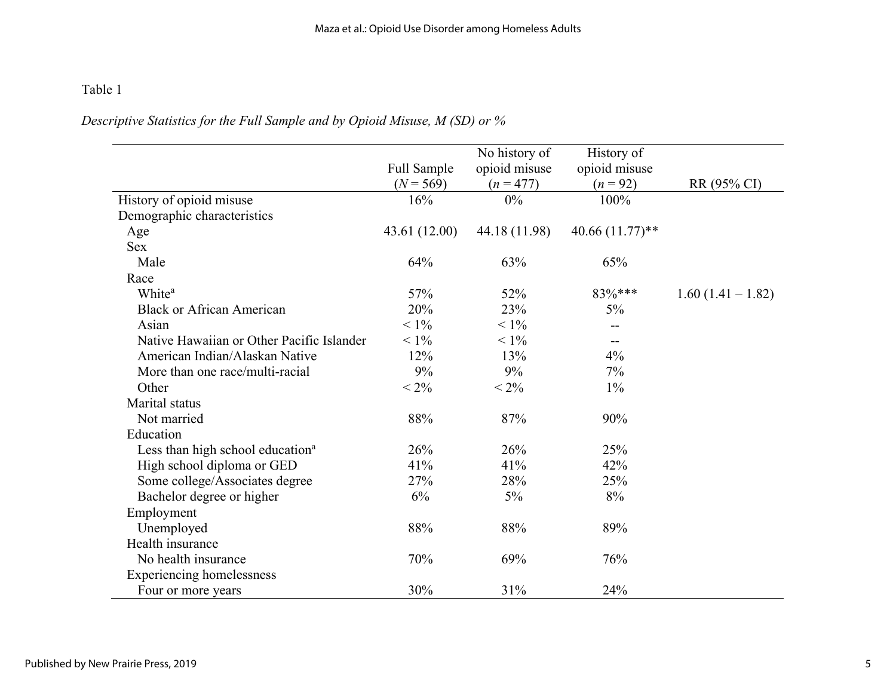## Table 1

## *Descriptive Statistics for the Full Sample and by Opioid Misuse, M (SD) or %*

|                                              |               | No history of | History of         |                     |
|----------------------------------------------|---------------|---------------|--------------------|---------------------|
|                                              | Full Sample   | opioid misuse | opioid misuse      |                     |
|                                              | $(N = 569)$   | $(n = 477)$   | $(n = 92)$         | RR (95% CI)         |
| History of opioid misuse                     | 16%           | 0%            | 100%               |                     |
| Demographic characteristics                  |               |               |                    |                     |
| Age                                          | 43.61 (12.00) | 44.18 (11.98) | 40.66 $(11.77)$ ** |                     |
| <b>Sex</b>                                   |               |               |                    |                     |
| Male                                         | 64%           | 63%           | 65%                |                     |
| Race                                         |               |               |                    |                     |
| White <sup>a</sup>                           | 57%           | 52%           | 83%***             | $1.60(1.41 - 1.82)$ |
| <b>Black or African American</b>             | 20%           | 23%           | 5%                 |                     |
| Asian                                        | $< 1\%$       | $< 1\%$       | --                 |                     |
| Native Hawaiian or Other Pacific Islander    | $< 1\%$       | $< 1\%$       | $-$                |                     |
| American Indian/Alaskan Native               | 12%           | 13%           | 4%                 |                     |
| More than one race/multi-racial              | 9%            | 9%            | 7%                 |                     |
| Other                                        | $< 2\%$       | $< 2\%$       | $1\%$              |                     |
| Marital status                               |               |               |                    |                     |
| Not married                                  | 88%           | 87%           | 90%                |                     |
| Education                                    |               |               |                    |                     |
| Less than high school education <sup>a</sup> | 26%           | 26%           | 25%                |                     |
| High school diploma or GED                   | 41%           | 41%           | 42%                |                     |
| Some college/Associates degree               | 27%           | 28%           | 25%                |                     |
| Bachelor degree or higher                    | 6%            | $5\%$         | 8%                 |                     |
| Employment                                   |               |               |                    |                     |
| Unemployed                                   | 88%           | 88%           | 89%                |                     |
| Health insurance                             |               |               |                    |                     |
| No health insurance                          | 70%           | 69%           | 76%                |                     |
| <b>Experiencing homelessness</b>             |               |               |                    |                     |
| Four or more years                           | 30%           | 31%           | 24%                |                     |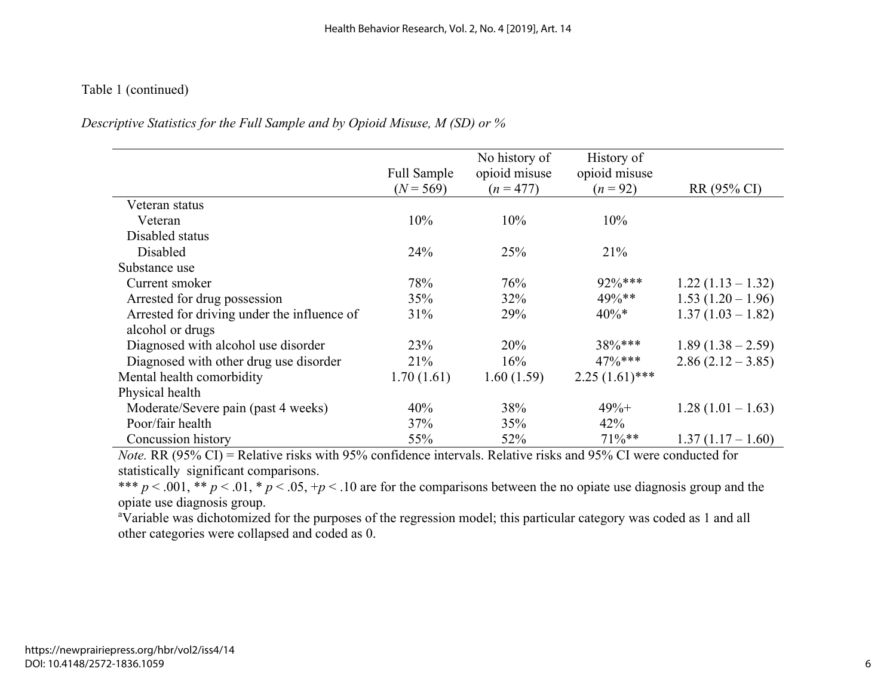## Table 1 (continued)

## *Descriptive Statistics for the Full Sample and by Opioid Misuse, M (SD) or %*

|                                             |                            | No history of                | History of                  |                     |
|---------------------------------------------|----------------------------|------------------------------|-----------------------------|---------------------|
|                                             | Full Sample<br>$(N = 569)$ | opioid misuse<br>$(n = 477)$ | opioid misuse<br>$(n = 92)$ | RR (95% CI)         |
| Veteran status                              |                            |                              |                             |                     |
| Veteran                                     | 10%                        | 10%                          | 10%                         |                     |
| Disabled status                             |                            |                              |                             |                     |
| Disabled                                    | 24%                        | 25%                          | 21%                         |                     |
| Substance use                               |                            |                              |                             |                     |
| Current smoker                              | 78%                        | 76%                          | 92%***                      | $1.22(1.13-1.32)$   |
| Arrested for drug possession                | 35%                        | 32%                          | 49%**                       | $1.53(1.20-1.96)$   |
| Arrested for driving under the influence of | 31%                        | 29%                          | $40\%*$                     | $1.37(1.03 - 1.82)$ |
| alcohol or drugs                            |                            |                              |                             |                     |
| Diagnosed with alcohol use disorder         | 23%                        | 20%                          | 38%***                      | $1.89(1.38-2.59)$   |
| Diagnosed with other drug use disorder      | 21%                        | 16%                          | $47\%***$                   | $2.86(2.12-3.85)$   |
| Mental health comorbidity                   | 1.70(1.61)                 | 1.60(1.59)                   | $2.25(1.61)$ ***            |                     |
| Physical health                             |                            |                              |                             |                     |
| Moderate/Severe pain (past 4 weeks)         | 40%                        | 38%                          | $49%+$                      | $1.28(1.01-1.63)$   |
| Poor/fair health                            | 37%                        | 35%                          | 42%                         |                     |
| Concussion history                          | 55%                        | 52%                          | $71\%**$                    | $1.37(1.17-1.60)$   |

*Note.* RR (95% CI) = Relative risks with 95% confidence intervals. Relative risks and 95% CI were conducted for statistically significant comparisons.

\*\*\*  $p < .001$ , \*\*  $p < .01$ , \*  $p < .05$ , + $p < .10$  are for the comparisons between the no opiate use diagnosis group and the opiate use diagnosis group. a

Variable was dichotomized for the purposes of the regression model; this particular category was coded as 1 and all other categories were collapsed and coded as 0.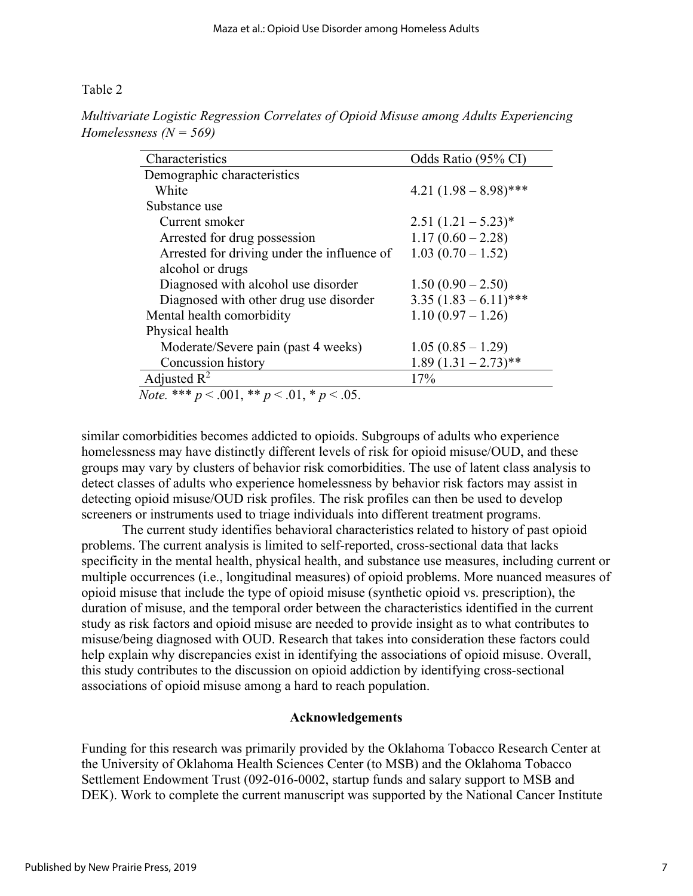#### Table 2

| Characteristics                             | Odds Ratio (95% CI)      |
|---------------------------------------------|--------------------------|
| Demographic characteristics                 |                          |
| White                                       | 4.21 $(1.98 - 8.98)$ *** |
| Substance use                               |                          |
| Current smoker                              | $2.51 (1.21 - 5.23)^*$   |
| Arrested for drug possession                | $1.17(0.60 - 2.28)$      |
| Arrested for driving under the influence of | $1.03(0.70-1.52)$        |
| alcohol or drugs                            |                          |
| Diagnosed with alcohol use disorder         | $1.50(0.90-2.50)$        |
| Diagnosed with other drug use disorder      | $3.35(1.83-6.11)$ ***    |
| Mental health comorbidity                   | $1.10(0.97 - 1.26)$      |
| Physical health                             |                          |
| Moderate/Severe pain (past 4 weeks)         | $1.05(0.85-1.29)$        |
| Concussion history                          | $1.89(1.31-2.73)$ **     |
| Adjusted $R^2$                              | 17%                      |

*Multivariate Logistic Regression Correlates of Opioid Misuse among Adults Experiencing Homelessness (N = 569)* 

 *Note.* \*\*\* *p* < .001, \*\* *p* < .01, \* *p* < .05.

similar comorbidities becomes addicted to opioids. Subgroups of adults who experience homelessness may have distinctly different levels of risk for opioid misuse/OUD, and these groups may vary by clusters of behavior risk comorbidities. The use of latent class analysis to detect classes of adults who experience homelessness by behavior risk factors may assist in detecting opioid misuse/OUD risk profiles. The risk profiles can then be used to develop screeners or instruments used to triage individuals into different treatment programs.

The current study identifies behavioral characteristics related to history of past opioid problems. The current analysis is limited to self-reported, cross-sectional data that lacks specificity in the mental health, physical health, and substance use measures, including current or multiple occurrences (i.e., longitudinal measures) of opioid problems. More nuanced measures of opioid misuse that include the type of opioid misuse (synthetic opioid vs. prescription), the duration of misuse, and the temporal order between the characteristics identified in the current study as risk factors and opioid misuse are needed to provide insight as to what contributes to misuse/being diagnosed with OUD. Research that takes into consideration these factors could help explain why discrepancies exist in identifying the associations of opioid misuse. Overall, this study contributes to the discussion on opioid addiction by identifying cross-sectional associations of opioid misuse among a hard to reach population.

#### **Acknowledgements**

Funding for this research was primarily provided by the Oklahoma Tobacco Research Center at the University of Oklahoma Health Sciences Center (to MSB) and the Oklahoma Tobacco Settlement Endowment Trust (092-016-0002, startup funds and salary support to MSB and DEK). Work to complete the current manuscript was supported by the National Cancer Institute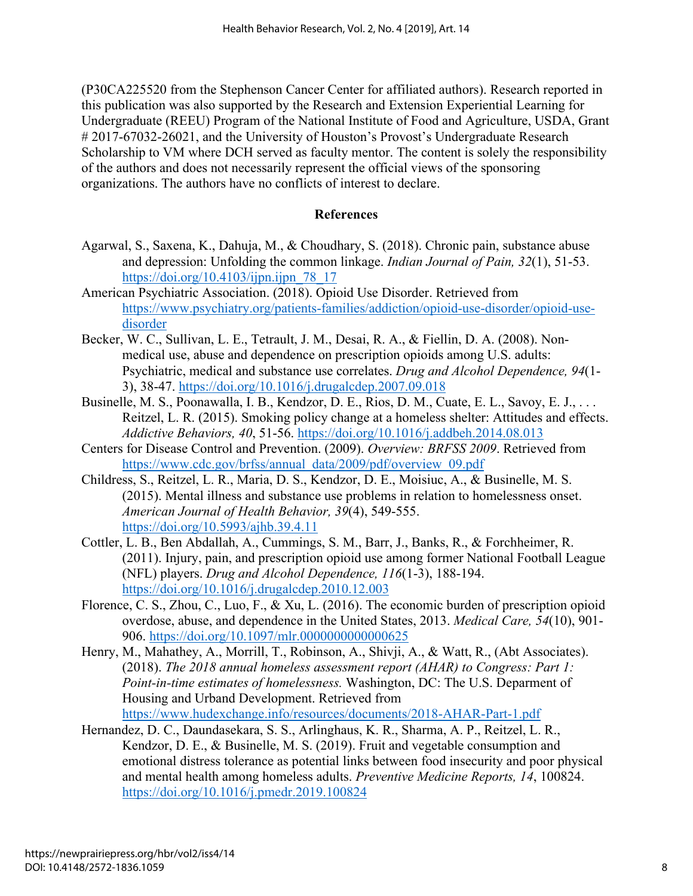(P30CA225520 from the Stephenson Cancer Center for affiliated authors). Research reported in this publication was also supported by the Research and Extension Experiential Learning for Undergraduate (REEU) Program of the National Institute of Food and Agriculture, USDA, Grant # 2017-67032-26021, and the University of Houston's Provost's Undergraduate Research Scholarship to VM where DCH served as faculty mentor. The content is solely the responsibility of the authors and does not necessarily represent the official views of the sponsoring organizations. The authors have no conflicts of interest to declare.

## **References**

- Agarwal, S., Saxena, K., Dahuja, M., & Choudhary, S. (2018). Chronic pain, substance abuse and depression: Unfolding the common linkage. *Indian Journal of Pain, 32*(1), 51-53. https://doi.org/10.4103/ijpn.ijpn $78$  17
- American Psychiatric Association. (2018). Opioid Use Disorder. Retrieved from [https://www.psychiatry.org/patients-families/addiction/opioid-use-disorder/opioid-use](https://www.psychiatry.org/patients-families/addiction/opioid-use-disorder/opioid-use-disorder)[disorder](https://www.psychiatry.org/patients-families/addiction/opioid-use-disorder/opioid-use-disorder)
- Becker, W. C., Sullivan, L. E., Tetrault, J. M., Desai, R. A., & Fiellin, D. A. (2008). Nonmedical use, abuse and dependence on prescription opioids among U.S. adults: Psychiatric, medical and substance use correlates. *Drug and Alcohol Dependence, 94*(1- 3), 38-47.<https://doi.org/10.1016/j.drugalcdep.2007.09.018>
- Businelle, M. S., Poonawalla, I. B., Kendzor, D. E., Rios, D. M., Cuate, E. L., Savoy, E. J., . . . Reitzel, L. R. (2015). Smoking policy change at a homeless shelter: Attitudes and effects. *Addictive Behaviors, 40*, 51-56.<https://doi.org/10.1016/j.addbeh.2014.08.013>
- Centers for Disease Control and Prevention. (2009). *Overview: BRFSS 2009*. Retrieved from [https://www.cdc.gov/brfss/annual\\_data/2009/pdf/overview\\_09.pdf](https://www.cdc.gov/brfss/annual_data/2009/pdf/overview_09.pdf)
- Childress, S., Reitzel, L. R., Maria, D. S., Kendzor, D. E., Moisiuc, A., & Businelle, M. S. (2015). Mental illness and substance use problems in relation to homelessness onset. *American Journal of Health Behavior, 39*(4), 549-555. https://doi.org/10.5993/ajhb.39.4.11
- Cottler, L. B., Ben Abdallah, A., Cummings, S. M., Barr, J., Banks, R., & Forchheimer, R. (2011). Injury, pain, and prescription opioid use among former National Football League (NFL) players. *Drug and Alcohol Dependence, 116*(1-3), 188-194. <https://doi.org/10.1016/j.drugalcdep.2010.12.003>
- Florence, C. S., Zhou, C., Luo, F., & Xu, L. (2016). The economic burden of prescription opioid overdose, abuse, and dependence in the United States, 2013. *Medical Care, 54*(10), 901- 906.<https://doi.org/10.1097/mlr.0000000000000625>
- Henry, M., Mahathey, A., Morrill, T., Robinson, A., Shivji, A., & Watt, R., (Abt Associates). (2018). *The 2018 annual homeless assessment report (AHAR) to Congress: Part 1: Point-in-time estimates of homelessness.* Washington, DC: The U.S. Deparment of Housing and Urband Development. Retrieved from <https://www.hudexchange.info/resources/documents/2018-AHAR-Part-1.pdf>
- Hernandez, D. C., Daundasekara, S. S., Arlinghaus, K. R., Sharma, A. P., Reitzel, L. R., Kendzor, D. E., & Businelle, M. S. (2019). Fruit and vegetable consumption and emotional distress tolerance as potential links between food insecurity and poor physical and mental health among homeless adults. *Preventive Medicine Reports, 14*, 100824. <https://doi.org/10.1016/j.pmedr.2019.100824>